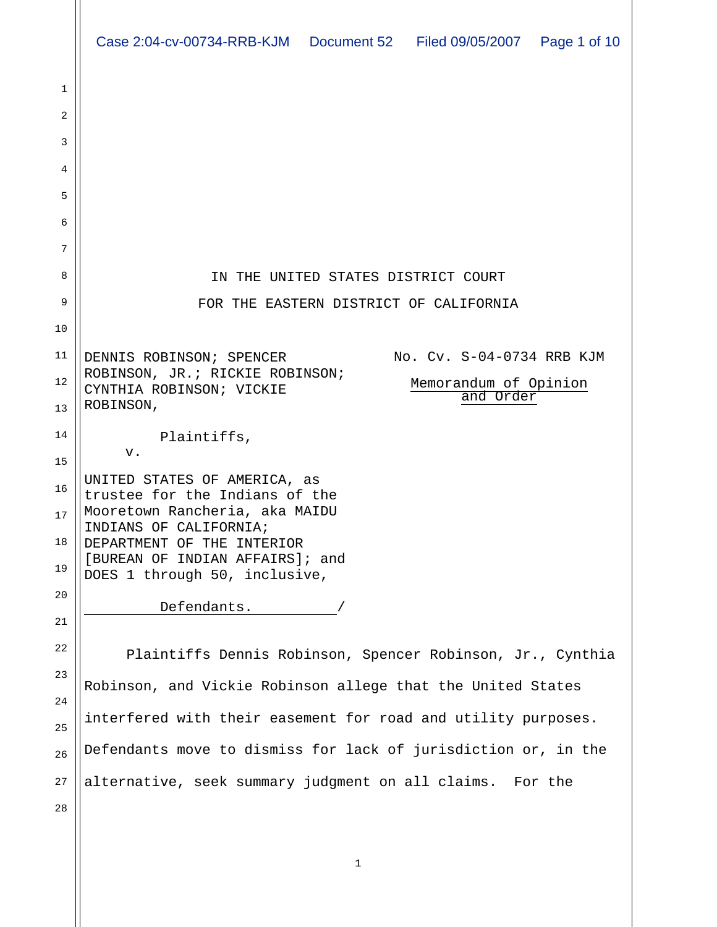|    | Case 2:04-cv-00734-RRB-KJM  Document 52  Filed 09/05/2007  Page 1 of 10                  |
|----|------------------------------------------------------------------------------------------|
|    |                                                                                          |
| 1  |                                                                                          |
| 2  |                                                                                          |
| 3  |                                                                                          |
| 4  |                                                                                          |
| 5  |                                                                                          |
| 6  |                                                                                          |
| 7  |                                                                                          |
| 8  | IN THE UNITED STATES DISTRICT COURT                                                      |
| 9  | FOR THE EASTERN DISTRICT OF CALIFORNIA                                                   |
| 10 |                                                                                          |
| 11 | No. Cv. S-04-0734 RRB KJM<br>DENNIS ROBINSON; SPENCER<br>ROBINSON, JR.; RICKIE ROBINSON; |
| 12 | Memorandum of Opinion<br>CYNTHIA ROBINSON; VICKIE<br>and Order                           |
| 13 | ROBINSON,                                                                                |
| 14 | Plaintiffs,<br>v.                                                                        |
| 15 | UNITED STATES OF AMERICA, as                                                             |
| 16 | trustee for the Indians of the                                                           |
| 17 | Mooretown Rancheria, aka MAIDU<br>INDIANS OF CALIFORNIA;                                 |
| 18 | DEPARTMENT OF THE INTERIOR                                                               |
| 19 | [BUREAN OF INDIAN AFFAIRS]; and<br>DOES 1 through 50, inclusive,                         |
| 20 | Defendants.                                                                              |
| 21 |                                                                                          |
| 22 | Plaintiffs Dennis Robinson, Spencer Robinson, Jr., Cynthia                               |
| 23 | Robinson, and Vickie Robinson allege that the United States                              |
| 24 | interfered with their easement for road and utility purposes.                            |
| 25 |                                                                                          |
| 26 | Defendants move to dismiss for lack of jurisdiction or, in the                           |
| 27 | alternative, seek summary judgment on all claims. For the                                |
| 28 |                                                                                          |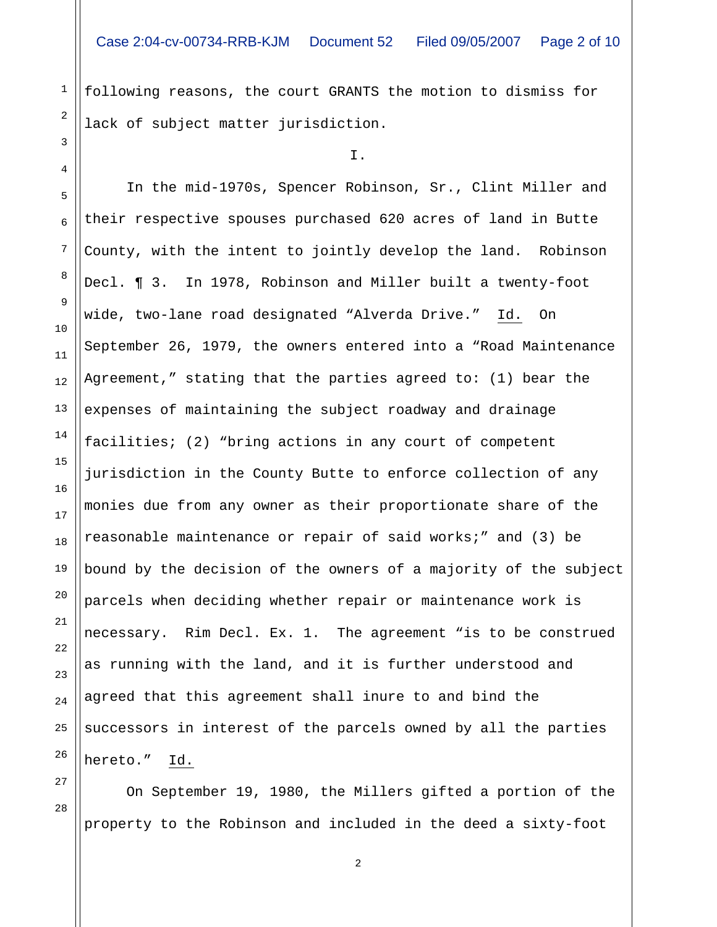following reasons, the court GRANTS the motion to dismiss for lack of subject matter jurisdiction.

1

2

3

4

9

27

28

I.

5 6 7 8 10 11 12 13 14 15 16 17 18 19 20 21 22 23 24 25 26 In the mid-1970s, Spencer Robinson, Sr., Clint Miller and their respective spouses purchased 620 acres of land in Butte County, with the intent to jointly develop the land. Robinson Decl. ¶ 3. In 1978, Robinson and Miller built a twenty-foot wide, two-lane road designated "Alverda Drive." Id. On September 26, 1979, the owners entered into a "Road Maintenance Agreement," stating that the parties agreed to: (1) bear the expenses of maintaining the subject roadway and drainage facilities; (2) "bring actions in any court of competent jurisdiction in the County Butte to enforce collection of any monies due from any owner as their proportionate share of the reasonable maintenance or repair of said works;" and (3) be bound by the decision of the owners of a majority of the subject parcels when deciding whether repair or maintenance work is necessary. Rim Decl. Ex. 1. The agreement "is to be construed as running with the land, and it is further understood and agreed that this agreement shall inure to and bind the successors in interest of the parcels owned by all the parties hereto." Id.

 On September 19, 1980, the Millers gifted a portion of the property to the Robinson and included in the deed a sixty-foot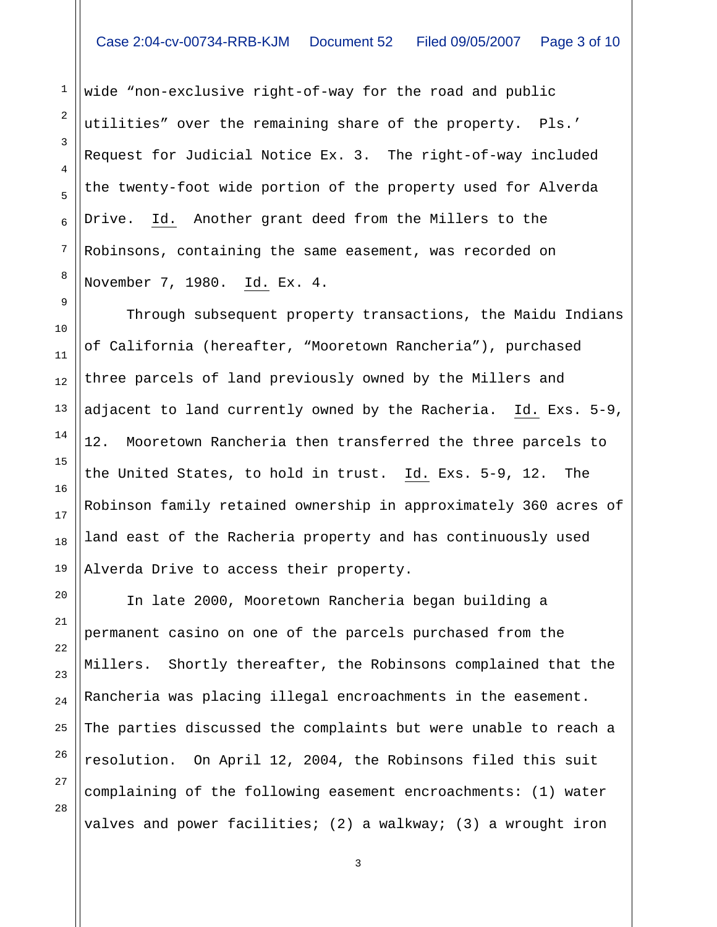wide "non-exclusive right-of-way for the road and public utilities" over the remaining share of the property. Pls.' Request for Judicial Notice Ex. 3. The right-of-way included the twenty-foot wide portion of the property used for Alverda Drive. Id. Another grant deed from the Millers to the Robinsons, containing the same easement, was recorded on November 7, 1980. Id. Ex. 4.

 Through subsequent property transactions, the Maidu Indians of California (hereafter, "Mooretown Rancheria"), purchased three parcels of land previously owned by the Millers and adjacent to land currently owned by the Racheria. Id. Exs. 5-9, 12. Mooretown Rancheria then transferred the three parcels to the United States, to hold in trust. Id. Exs. 5-9, 12. The Robinson family retained ownership in approximately 360 acres of land east of the Racheria property and has continuously used Alverda Drive to access their property.

 In late 2000, Mooretown Rancheria began building a permanent casino on one of the parcels purchased from the Millers. Shortly thereafter, the Robinsons complained that the Rancheria was placing illegal encroachments in the easement. The parties discussed the complaints but were unable to reach a resolution. On April 12, 2004, the Robinsons filed this suit complaining of the following easement encroachments: (1) water valves and power facilities; (2) a walkway; (3) a wrought iron

28

1

2

3

4

5

6

7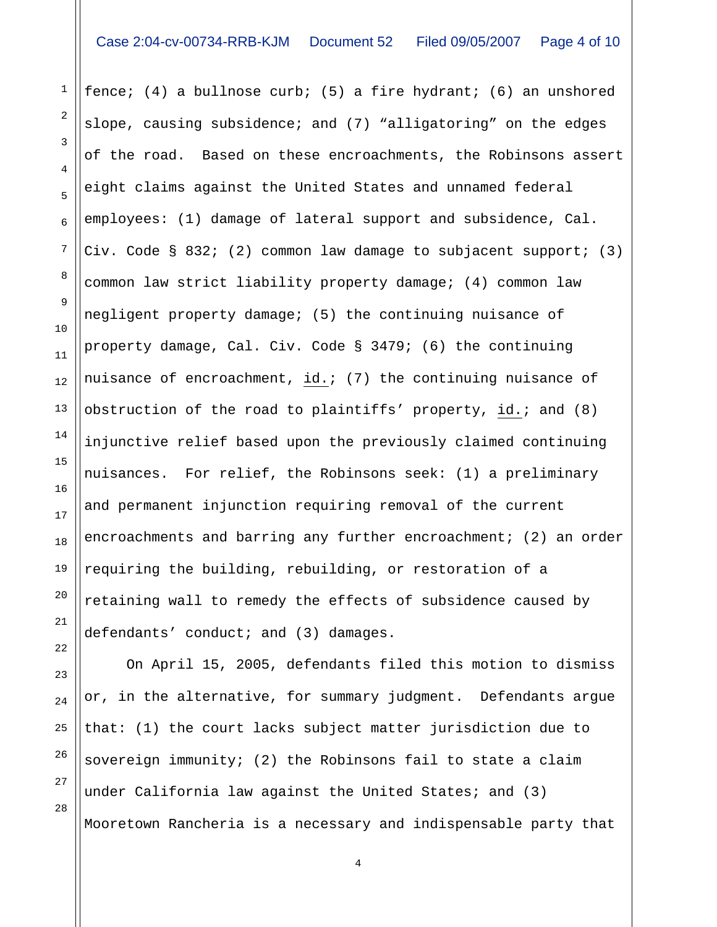1

2

3

4

5

6

7

8

9

10

11

12

13

14

15

16

17

18

19

20

21

22

fence; (4) a bullnose curb; (5) a fire hydrant; (6) an unshored slope, causing subsidence; and (7) "alligatoring" on the edges of the road. Based on these encroachments, the Robinsons assert eight claims against the United States and unnamed federal employees: (1) damage of lateral support and subsidence, Cal. Civ. Code § 832; (2) common law damage to subjacent support; (3) common law strict liability property damage; (4) common law negligent property damage; (5) the continuing nuisance of property damage, Cal. Civ. Code § 3479; (6) the continuing nuisance of encroachment, id.;  $(7)$  the continuing nuisance of obstruction of the road to plaintiffs' property, id.; and (8) injunctive relief based upon the previously claimed continuing nuisances. For relief, the Robinsons seek: (1) a preliminary and permanent injunction requiring removal of the current encroachments and barring any further encroachment; (2) an order requiring the building, rebuilding, or restoration of a retaining wall to remedy the effects of subsidence caused by defendants' conduct; and (3) damages.

23 24 25 26 27 28 On April 15, 2005, defendants filed this motion to dismiss or, in the alternative, for summary judgment. Defendants argue that: (1) the court lacks subject matter jurisdiction due to sovereign immunity; (2) the Robinsons fail to state a claim under California law against the United States; and (3) Mooretown Rancheria is a necessary and indispensable party that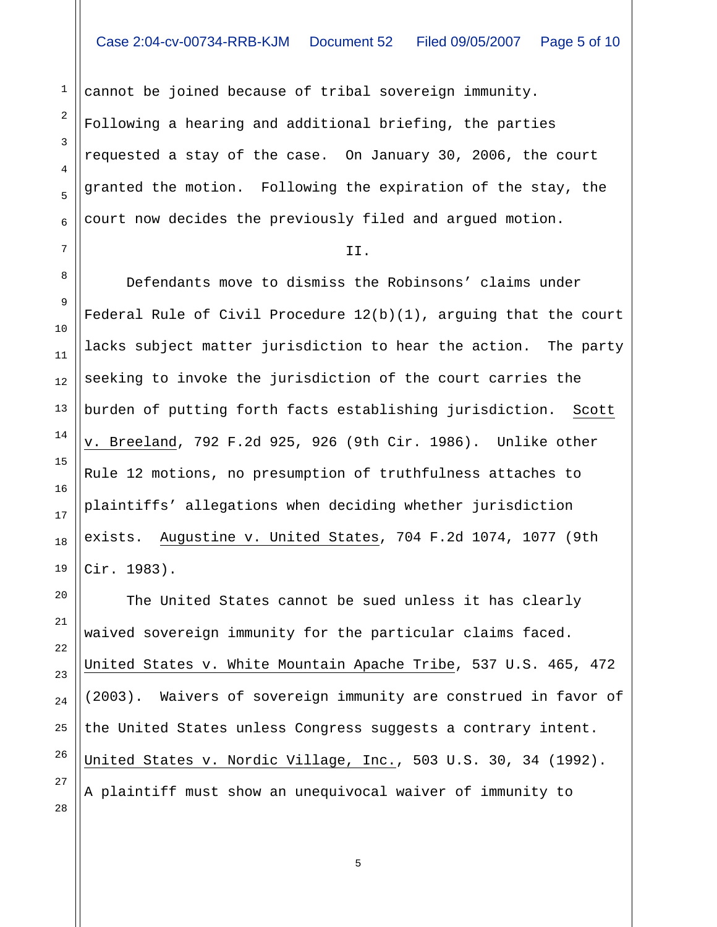cannot be joined because of tribal sovereign immunity. Following a hearing and additional briefing, the parties requested a stay of the case. On January 30, 2006, the court granted the motion. Following the expiration of the stay, the court now decides the previously filed and argued motion.

## II.

 Defendants move to dismiss the Robinsons' claims under Federal Rule of Civil Procedure 12(b)(1), arguing that the court lacks subject matter jurisdiction to hear the action. The party seeking to invoke the jurisdiction of the court carries the burden of putting forth facts establishing jurisdiction. Scott v. Breeland, 792 F.2d 925, 926 (9th Cir. 1986). Unlike other Rule 12 motions, no presumption of truthfulness attaches to plaintiffs' allegations when deciding whether jurisdiction exists. Augustine v. United States, 704 F.2d 1074, 1077 (9th Cir. 1983).

 The United States cannot be sued unless it has clearly waived sovereign immunity for the particular claims faced. United States v. White Mountain Apache Tribe, 537 U.S. 465, 472 (2003). Waivers of sovereign immunity are construed in favor of the United States unless Congress suggests a contrary intent. United States v. Nordic Village, Inc., 503 U.S. 30, 34 (1992). A plaintiff must show an unequivocal waiver of immunity to

28

1

2

3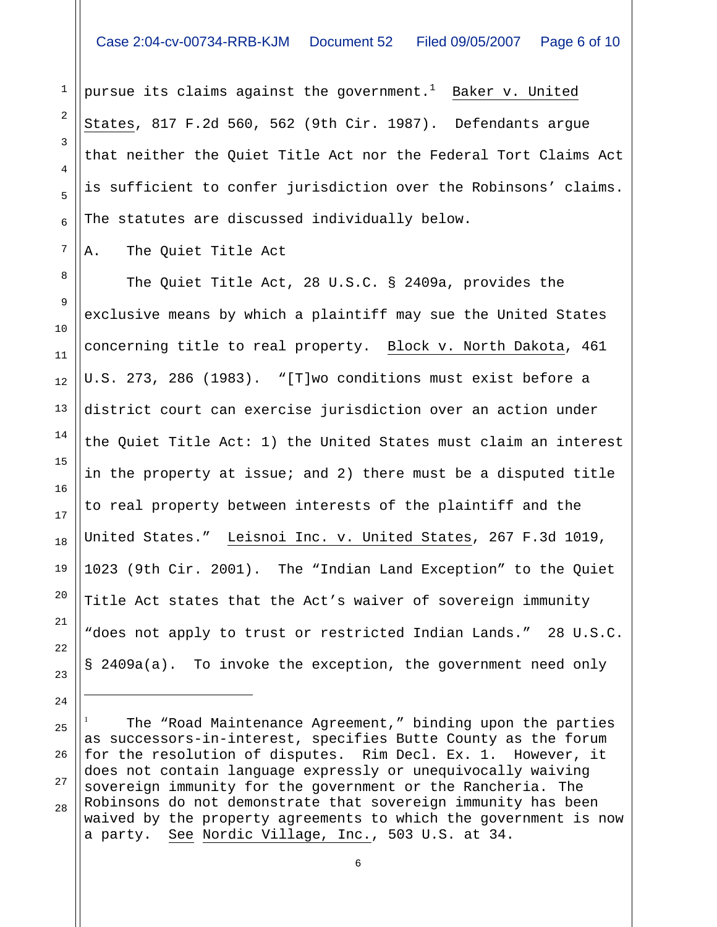pursue its claims against the government. $^1$  Baker v. United States, 817 F.2d 560, 562 (9th Cir. 1987). Defendants argue that neither the Quiet Title Act nor the Federal Tort Claims Act is sufficient to confer jurisdiction over the Robinsons' claims. The statutes are discussed individually below.

A. The Quiet Title Act

 The Quiet Title Act, 28 U.S.C. § 2409a, provides the exclusive means by which a plaintiff may sue the United States concerning title to real property. Block v. North Dakota, 461 U.S. 273, 286 (1983). "[T]wo conditions must exist before a district court can exercise jurisdiction over an action under the Quiet Title Act: 1) the United States must claim an interest in the property at issue; and 2) there must be a disputed title to real property between interests of the plaintiff and the United States." Leisnoi Inc. v. United States, 267 F.3d 1019, 1023 (9th Cir. 2001). The "Indian Land Exception" to the Quiet Title Act states that the Act's waiver of sovereign immunity "does not apply to trust or restricted Indian Lands." 28 U.S.C. § 2409a(a). To invoke the exception, the government need only

25 28 The "Road Maintenance Agreement," binding upon the parties as successors-in-interest, specifies Butte County as the forum for the resolution of disputes. Rim Decl. Ex. 1. However, it does not contain language expressly or unequivocally waiving sovereign immunity for the government or the Rancheria. The Robinsons do not demonstrate that sovereign immunity has been waived by the property agreements to which the government is now a party. See Nordic Village, Inc., 503 U.S. at 34.

i 1

1

2

3

4

5

6

7

8

9

10

11

12

13

14

15

16

17

18

19

20

21

22

23

24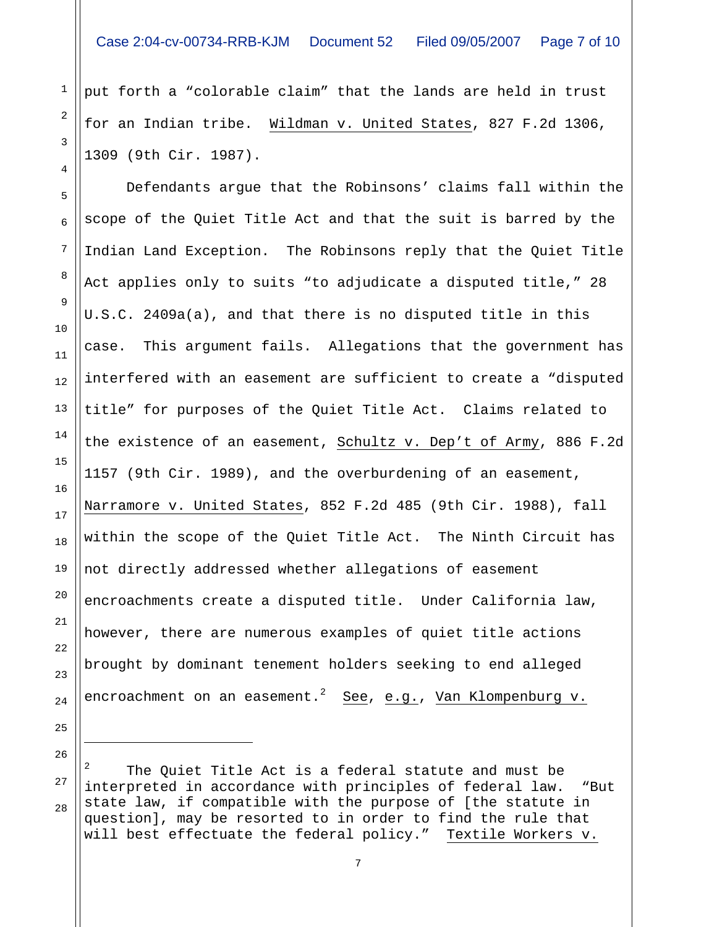put forth a "colorable claim" that the lands are held in trust for an Indian tribe. Wildman v. United States, 827 F.2d 1306, 1309 (9th Cir. 1987).

 Defendants argue that the Robinsons' claims fall within the scope of the Quiet Title Act and that the suit is barred by the Indian Land Exception. The Robinsons reply that the Quiet Title Act applies only to suits "to adjudicate a disputed title," 28 U.S.C. 2409a(a), and that there is no disputed title in this case. This argument fails. Allegations that the government has interfered with an easement are sufficient to create a "disputed title" for purposes of the Quiet Title Act. Claims related to the existence of an easement, Schultz v. Dep't of Army, 886 F.2d 1157 (9th Cir. 1989), and the overburdening of an easement, Narramore v. United States, 852 F.2d 485 (9th Cir. 1988), fall within the scope of the Quiet Title Act. The Ninth Circuit has not directly addressed whether allegations of easement encroachments create a disputed title. Under California law, however, there are numerous examples of quiet title actions brought by dominant tenement holders seeking to end alleged encroachment on an easement. $^2$  See, e.g., Van Klompenburg v.

26

i

27

28

1

2

3

4

5

6

7

8

9

10

11

12

13

14

15

16

17

18

19

20

21

22

23

24

<sup>2</sup> The Quiet Title Act is a federal statute and must be interpreted in accordance with principles of federal law. "But state law, if compatible with the purpose of [the statute in question], may be resorted to in order to find the rule that will best effectuate the federal policy." Textile Workers v.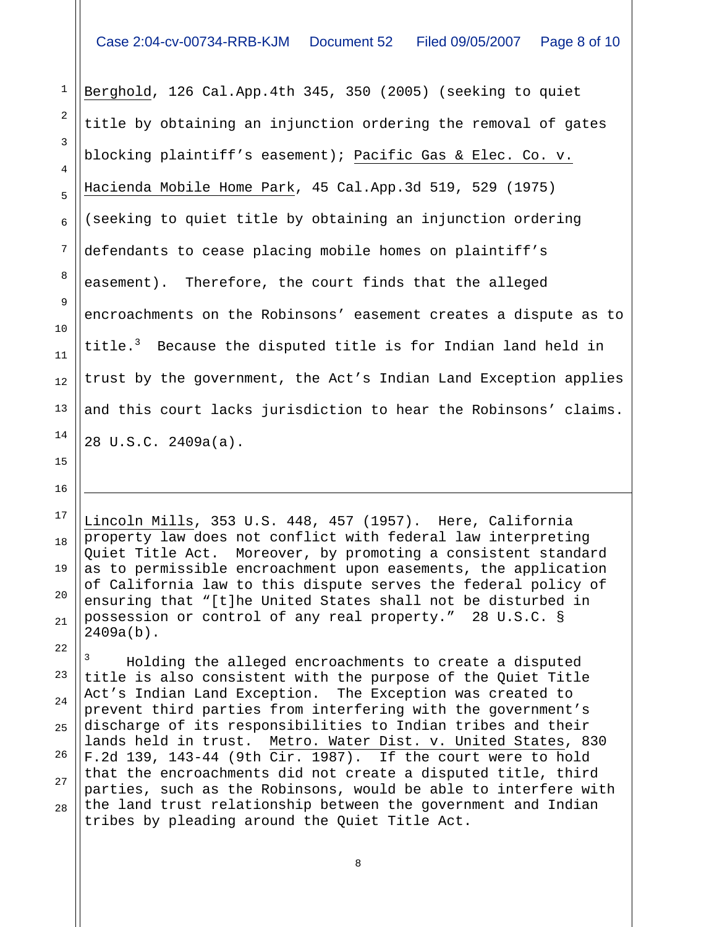1

2

3

4

5

6

7

8

9

10

11

13

14

15

16

i

22

12 Berghold, 126 Cal.App.4th 345, 350 (2005) (seeking to quiet title by obtaining an injunction ordering the removal of gates blocking plaintiff's easement); Pacific Gas & Elec. Co. v. Hacienda Mobile Home Park, 45 Cal.App.3d 519, 529 (1975) (seeking to quiet title by obtaining an injunction ordering defendants to cease placing mobile homes on plaintiff's easement). Therefore, the court finds that the alleged encroachments on the Robinsons' easement creates a dispute as to title.<sup>3</sup> Because the disputed title is for Indian land held in trust by the government, the Act's Indian Land Exception applies and this court lacks jurisdiction to hear the Robinsons' claims. 28 U.S.C. 2409a(a).

17 18 19 20 21 Lincoln Mills, 353 U.S. 448, 457 (1957). Here, California property law does not conflict with federal law interpreting Quiet Title Act. Moreover, by promoting a consistent standard as to permissible encroachment upon easements, the application of California law to this dispute serves the federal policy of ensuring that "[t]he United States shall not be disturbed in possession or control of any real property." 28 U.S.C. § 2409a(b).

23 24 25 26 27 28 3 Holding the alleged encroachments to create a disputed title is also consistent with the purpose of the Quiet Title Act's Indian Land Exception. The Exception was created to prevent third parties from interfering with the government's discharge of its responsibilities to Indian tribes and their lands held in trust. Metro. Water Dist. v. United States, 830 F.2d 139, 143-44 (9th Cir. 1987). If the court were to hold that the encroachments did not create a disputed title, third parties, such as the Robinsons, would be able to interfere with the land trust relationship between the government and Indian tribes by pleading around the Quiet Title Act.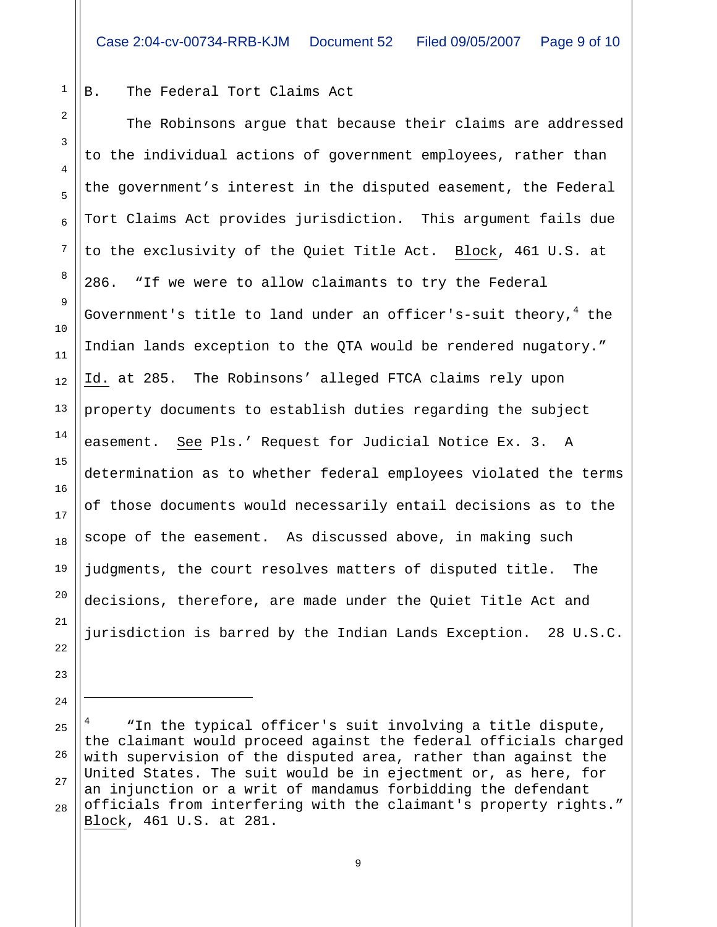## B. The Federal Tort Claims Act

1

2

3

4

5

6

7

8

9

10

11

12

13

14

15

16

17

18

19

20

21

22

23

24

i

 The Robinsons argue that because their claims are addressed to the individual actions of government employees, rather than the government's interest in the disputed easement, the Federal Tort Claims Act provides jurisdiction. This argument fails due to the exclusivity of the Quiet Title Act. Block, 461 U.S. at 286. "If we were to allow claimants to try the Federal Government's title to land under an officer's-suit theory, $^4$  the Indian lands exception to the QTA would be rendered nugatory." Id. at 285. The Robinsons' alleged FTCA claims rely upon property documents to establish duties regarding the subject easement. See Pls.' Request for Judicial Notice Ex. 3. A determination as to whether federal employees violated the terms of those documents would necessarily entail decisions as to the scope of the easement. As discussed above, in making such judgments, the court resolves matters of disputed title. The decisions, therefore, are made under the Quiet Title Act and jurisdiction is barred by the Indian Lands Exception. 28 U.S.C.

25 26 27 28 4 "In the typical officer's suit involving a title dispute, the claimant would proceed against the federal officials charged with supervision of the disputed area, rather than against the United States. The suit would be in ejectment or, as here, for an injunction or a writ of mandamus forbidding the defendant officials from interfering with the claimant's property rights." Block, 461 U.S. at 281.